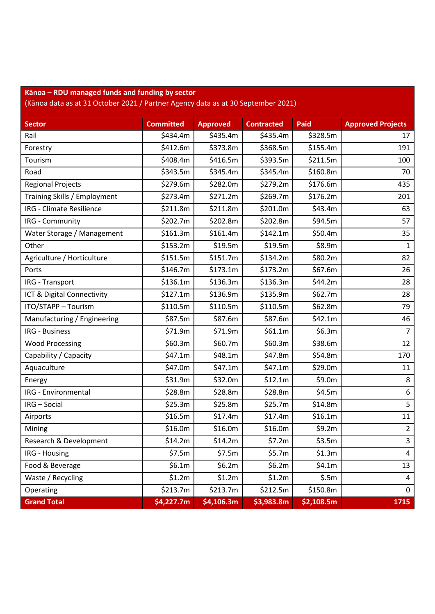| Kānoa – RDU managed funds and funding by sector |  |
|-------------------------------------------------|--|
|-------------------------------------------------|--|

(Kānoa data as at 31 October 2021 / Partner Agency data as at 30 September 2021)

| <b>Sector</b>                | <b>Committed</b> | <b>Approved</b> | <b>Contracted</b> | Paid       | <b>Approved Projects</b> |
|------------------------------|------------------|-----------------|-------------------|------------|--------------------------|
| Rail                         | \$434.4m         | \$435.4m        | \$435.4m          | \$328.5m   | 17                       |
| Forestry                     | \$412.6m         | \$373.8m        | \$368.5m          | \$155.4m   | 191                      |
| Tourism                      | \$408.4m         | \$416.5m        | \$393.5m          | \$211.5m   | 100                      |
| Road                         | \$343.5m         | \$345.4m        | \$345.4m          | \$160.8m   | 70                       |
| <b>Regional Projects</b>     | \$279.6m         | \$282.0m        | \$279.2m          | \$176.6m   | 435                      |
| Training Skills / Employment | \$273.4m         | \$271.2m        | \$269.7m          | \$176.2m   | 201                      |
| IRG - Climate Resilience     | \$211.8m         | \$211.8m        | \$201.0m          | \$43.4m    | 63                       |
| IRG - Community              | \$202.7m         | \$202.8m        | \$202.8m          | \$94.5m    | 57                       |
| Water Storage / Management   | \$161.3m         | \$161.4m        | \$142.1m          | \$50.4m    | 35                       |
| Other                        | \$153.2m         | \$19.5m         | \$19.5m           | \$8.9m     | 1                        |
| Agriculture / Horticulture   | \$151.5m         | \$151.7m        | \$134.2m          | \$80.2m    | 82                       |
| Ports                        | \$146.7m         | \$173.1m        | \$173.2m          | \$67.6m    | 26                       |
| IRG - Transport              | \$136.1m         | \$136.3m        | \$136.3m          | \$44.2m    | 28                       |
| ICT & Digital Connectivity   | \$127.1m         | \$136.9m        | \$135.9m          | \$62.7m    | 28                       |
| ITO/STAPP - Tourism          | \$110.5m         | \$110.5m        | \$110.5m          | \$62.8m    | 79                       |
| Manufacturing / Engineering  | \$87.5m          | \$87.6m         | \$87.6m           | \$42.1m    | 46                       |
| IRG - Business               | \$71.9m          | \$71.9m         | \$61.1m           | \$6.3m     | $\overline{7}$           |
| <b>Wood Processing</b>       | \$60.3m          | \$60.7m         | \$60.3m           | \$38.6m    | 12                       |
| Capability / Capacity        | \$47.1m          | \$48.1m         | \$47.8m           | \$54.8m    | 170                      |
| Aquaculture                  | \$47.0m          | \$47.1m         | \$47.1m           | \$29.0m    | 11                       |
| Energy                       | \$31.9m          | \$32.0m         | \$12.1m           | \$9.0m     | 8                        |
| <b>IRG</b> - Environmental   | \$28.8m          | \$28.8m         | \$28.8m           | \$4.5m     | 6                        |
| IRG - Social                 | \$25.3m          | \$25.8m         | \$25.7m           | \$14.8m    | 5                        |
| Airports                     | \$16.5m          | \$17.4m         | \$17.4m           | \$16.1m    | 11                       |
| Mining                       | \$16.0m          | \$16.0m         | \$16.0m           | \$9.2m     | $\overline{2}$           |
| Research & Development       | \$14.2m          | \$14.2m         | \$7.2m            | \$3.5m     | $\overline{3}$           |
| IRG - Housing                | \$7.5m           | \$7.5m          | \$5.7m            | \$1.3m     | 4                        |
| Food & Beverage              | \$6.1m           | \$6.2m          | \$6.2m            | \$4.1m     | 13                       |
| Waste / Recycling            | \$1.2m           | \$1.2m          | \$1.2m            | \$.5m      | 4                        |
| Operating                    | \$213.7m         | \$213.7m        | \$212.5m          | \$150.8m   | 0                        |
| <b>Grand Total</b>           | \$4,227.7m       | \$4,106.3m      | \$3,983.8m        | \$2,108.5m | 1715                     |